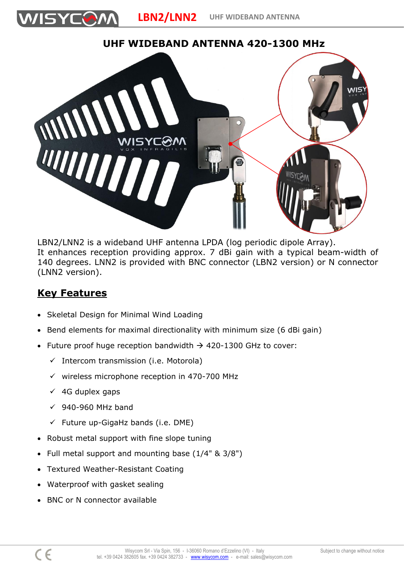

## **UHF WIDEBAND ANTENNA 420-1300 MHz**



LBN2/LNN2 is a wideband UHF antenna LPDA (log periodic dipole Array). It enhances reception providing approx. 7 dBi gain with a typical beam-width of 140 degrees. LNN2 is provided with BNC connector (LBN2 version) or N connector (LNN2 version).

## **Key Features**

VISYCON

- Skeletal Design for Minimal Wind Loading
- Bend elements for maximal directionality with minimum size (6 dBi gain)
- Future proof huge reception bandwidth  $\rightarrow$  420-1300 GHz to cover:
	- ✓ Intercom transmission (i.e. Motorola)
	- ✓ wireless microphone reception in 470-700 MHz
	- $\times$  4G duplex gaps
	- $\checkmark$  940-960 MHz band
	- $\checkmark$  Future up-GigaHz bands (i.e. DME)
- Robust metal support with fine slope tuning
- Full metal support and mounting base (1/4" & 3/8")
- Textured Weather-Resistant Coating
- Waterproof with gasket sealing
- BNC or N connector available